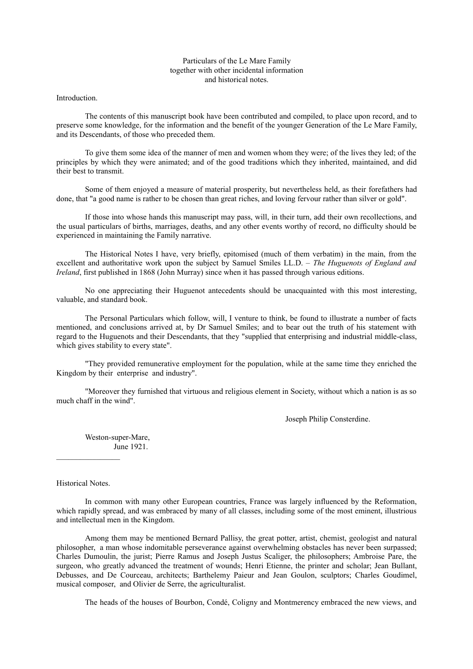## Particulars of the Le Mare Family together with other incidental information and historical notes.

Introduction.

The contents of this manuscript book have been contributed and compiled, to place upon record, and to preserve some knowledge, for the information and the benefit of the younger Generation of the Le Mare Family, and its Descendants, of those who preceded them.

To give them some idea of the manner of men and women whom they were; of the lives they led; of the principles by which they were animated; and of the good traditions which they inherited, maintained, and did their best to transmit.

Some of them enjoyed a measure of material prosperity, but nevertheless held, as their forefathers had done, that "a good name is rather to be chosen than great riches, and loving fervour rather than silver or gold".

If those into whose hands this manuscript may pass, will, in their turn, add their own recollections, and the usual particulars of births, marriages, deaths, and any other events worthy of record, no difficulty should be experienced in maintaining the Family narrative.

The Historical Notes I have, very briefly, epitomised (much of them verbatim) in the main, from the excellent and authoritative work upon the subject by Samuel Smiles LL.D. – *The Huguenots of England and Ireland*, first published in 1868 (John Murray) since when it has passed through various editions.

No one appreciating their Huguenot antecedents should be unacquainted with this most interesting, valuable, and standard book.

The Personal Particulars which follow, will, I venture to think, be found to illustrate a number of facts mentioned, and conclusions arrived at, by Dr Samuel Smiles; and to bear out the truth of his statement with regard to the Huguenots and their Descendants, that they "supplied that enterprising and industrial middle-class, which gives stability to every state".

"They provided remunerative employment for the population, while at the same time they enriched the Kingdom by their enterprise and industry".

"Moreover they furnished that virtuous and religious element in Society, without which a nation is as so much chaff in the wind".

Joseph Philip Consterdine.

Weston-super-Mare, June 1921.

Historical Notes.

 $\mathcal{L}=\mathcal{L}^{\text{max}}$ 

In common with many other European countries, France was largely influenced by the Reformation, which rapidly spread, and was embraced by many of all classes, including some of the most eminent, illustrious and intellectual men in the Kingdom.

Among them may be mentioned Bernard Pallisy, the great potter, artist, chemist, geologist and natural philosopher, a man whose indomitable perseverance against overwhelming obstacles has never been surpassed; Charles Dumoulin, the jurist; Pierre Ramus and Joseph Justus Scaliger, the philosophers; Ambroise Pare, the surgeon, who greatly advanced the treatment of wounds; Henri Etienne, the printer and scholar; Jean Bullant, Debusses, and De Courceau, architects; Barthelemy Paieur and Jean Goulon, sculptors; Charles Goudimel, musical composer, and Olivier de Serre, the agriculturalist.

The heads of the houses of Bourbon, Condé, Coligny and Montmerency embraced the new views, and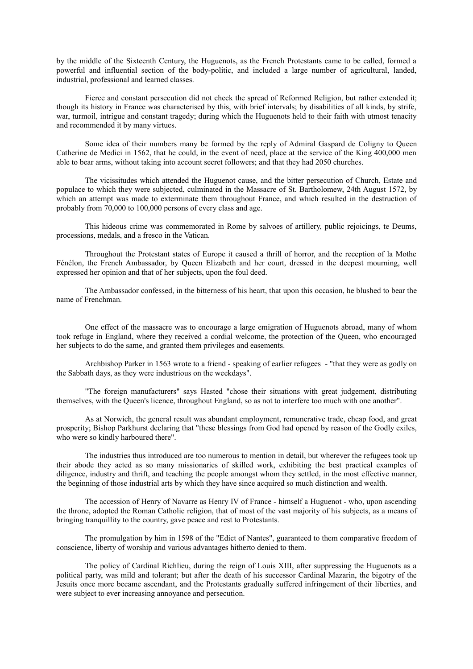by the middle of the Sixteenth Century, the Huguenots, as the French Protestants came to be called, formed a powerful and influential section of the body-politic, and included a large number of agricultural, landed, industrial, professional and learned classes.

Fierce and constant persecution did not check the spread of Reformed Religion, but rather extended it; though its history in France was characterised by this, with brief intervals; by disabilities of all kinds, by strife, war, turmoil, intrigue and constant tragedy; during which the Huguenots held to their faith with utmost tenacity and recommended it by many virtues.

Some idea of their numbers many be formed by the reply of Admiral Gaspard de Coligny to Queen Catherine de Medici in 1562, that he could, in the event of need, place at the service of the King 400,000 men able to bear arms, without taking into account secret followers; and that they had 2050 churches.

The vicissitudes which attended the Huguenot cause, and the bitter persecution of Church, Estate and populace to which they were subjected, culminated in the Massacre of St. Bartholomew, 24th August 1572, by which an attempt was made to exterminate them throughout France, and which resulted in the destruction of probably from 70,000 to 100,000 persons of every class and age.

This hideous crime was commemorated in Rome by salvoes of artillery, public rejoicings, te Deums, processions, medals, and a fresco in the Vatican.

Throughout the Protestant states of Europe it caused a thrill of horror, and the reception of la Mothe Fénélon, the French Ambassador, by Queen Elizabeth and her court, dressed in the deepest mourning, well expressed her opinion and that of her subjects, upon the foul deed.

The Ambassador confessed, in the bitterness of his heart, that upon this occasion, he blushed to bear the name of Frenchman.

One effect of the massacre was to encourage a large emigration of Huguenots abroad, many of whom took refuge in England, where they received a cordial welcome, the protection of the Queen, who encouraged her subjects to do the same, and granted them privileges and easements.

Archbishop Parker in 1563 wrote to a friend - speaking of earlier refugees - "that they were as godly on the Sabbath days, as they were industrious on the weekdays".

"The foreign manufacturers" says Hasted "chose their situations with great judgement, distributing themselves, with the Queen's licence, throughout England, so as not to interfere too much with one another".

As at Norwich, the general result was abundant employment, remunerative trade, cheap food, and great prosperity; Bishop Parkhurst declaring that "these blessings from God had opened by reason of the Godly exiles, who were so kindly harboured there".

The industries thus introduced are too numerous to mention in detail, but wherever the refugees took up their abode they acted as so many missionaries of skilled work, exhibiting the best practical examples of diligence, industry and thrift, and teaching the people amongst whom they settled, in the most effective manner, the beginning of those industrial arts by which they have since acquired so much distinction and wealth.

The accession of Henry of Navarre as Henry IV of France - himself a Huguenot - who, upon ascending the throne, adopted the Roman Catholic religion, that of most of the vast majority of his subjects, as a means of bringing tranquillity to the country, gave peace and rest to Protestants.

The promulgation by him in 1598 of the "Edict of Nantes", guaranteed to them comparative freedom of conscience, liberty of worship and various advantages hitherto denied to them.

The policy of Cardinal Richlieu, during the reign of Louis XIII, after suppressing the Huguenots as a political party, was mild and tolerant; but after the death of his successor Cardinal Mazarin, the bigotry of the Jesuits once more became ascendant, and the Protestants gradually suffered infringement of their liberties, and were subject to ever increasing annoyance and persecution.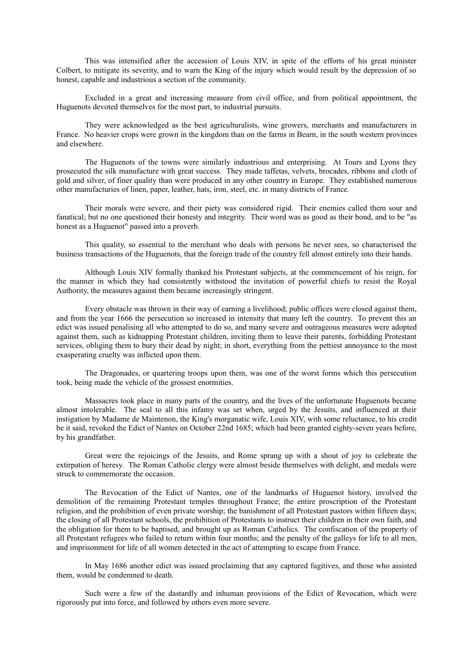This was intensified after the accession of Louis XIV, in spite of the efforts of his great minister Colbert, to mitigate its severity, and to warn the King of the injury which would result by the depression of so honest, capable and industrious a section of the community.

Excluded in a great and increasing measure from civil office, and from political appointment, the Huguenots devoted themselves for the most part, to industrial pursuits.

They were acknowledged as the best agriculturalists, wine growers, merchants and manufacturers in France. No heavier crops were grown in the kingdom than on the farms in Bearn, in the south western provinces and elsewhere.

The Huguenots of the towns were similarly industrious and enterprising. At Tours and Lyons they prosecuted the silk manufacture with great success. They made taffetas, velvets, brocades, ribbons and cloth of gold and silver, of finer quality than were produced in any other country in Europe. They established numerous other manufacturies of linen, paper, leather, hats, iron, steel, etc. in many districts of France.

Their morals were severe, and their piety was considered rigid. Their enemies called them sour and fanatical; but no one questioned their honesty and integrity. Their word was as good as their bond, and to be "as honest as a Huguenot" passed into a proverb.

This quality, so essential to the merchant who deals with persons he never sees, so characterised the business transactions of the Huguenots, that the foreign trade of the country fell almost entirely into their hands.

Although Louis XIV formally thanked his Protestant subjects, at the commencement of his reign, for the manner in which they had consistently withstood the invitation of powerful chiefs to resist the Royal Authority, the measures against them became increasingly stringent.

Every obstacle was thrown in their way of earning a livelihood; public offices were closed against them, and from the year 1666 the persecution so increased in intensity that many left the country. To prevent this an edict was issued penalising all who attempted to do so, and many severe and outrageous measures were adopted against them, such as kidnapping Protestant children, inviting them to leave their parents, forbidding Protestant services, obliging them to bury their dead by night; in short, everything from the pettiest annoyance to the most exasperating cruelty was inflicted upon them.

The Dragonades, or quartering troops upon them, was one of the worst forms which this persecution took, being made the vehicle of the grossest enormities.

Massacres took place in many parts of the country, and the lives of the unfortunate Huguenots became almost intolerable. The seal to all this infamy was set when, urged by the Jesuits, and influenced at their instigation by Madame de Maintenon, the King's morganatic wife, Louis XIV, with some reluctance, to his credit be it said, revoked the Edict of Nantes on October 22nd 1685; which had been granted eighty-seven years before, by his grandfather.

Great were the rejoicings of the Jesuits, and Rome sprang up with a shout of joy to celebrate the extirpation of heresy. The Roman Catholic clergy were almost beside themselves with delight, and medals were struck to commemorate the occasion.

The Revocation of the Edict of Nantes, one of the landmarks of Huguenot history, involved the demolition of the remaining Protestant temples throughout France; the entire proscription of the Protestant religion, and the prohibition of even private worship; the banishment of all Protestant pastors within fifteen days; the closing of all Protestant schools, the prohibition of Protestants to instruct their children in their own faith, and the obligation for them to be baptised, and brought up as Roman Catholics. The confiscation of the property of all Protestant refugees who failed to return within four months; and the penalty of the galleys for life to all men, and imprisonment for life of all women detected in the act of attempting to escape from France.

In May 1686 another edict was issued proclaiming that any captured fugitives, and those who assisted them, would be condemned to death.

Such were a few of the dastardly and inhuman provisions of the Edict of Revocation, which were rigorously put into force, and followed by others even more severe.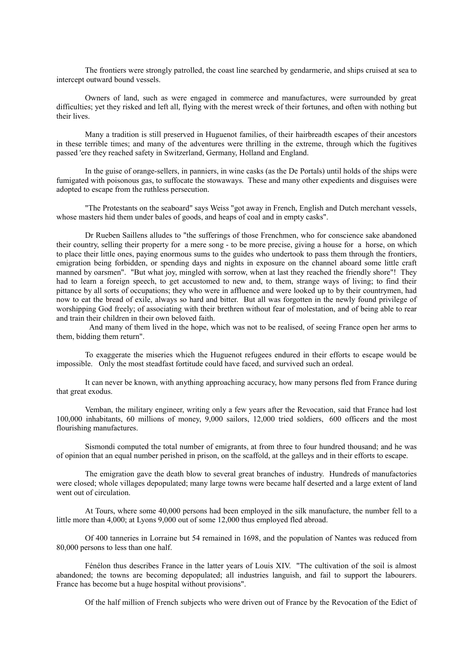The frontiers were strongly patrolled, the coast line searched by gendarmerie, and ships cruised at sea to intercept outward bound vessels.

Owners of land, such as were engaged in commerce and manufactures, were surrounded by great difficulties; yet they risked and left all, flying with the merest wreck of their fortunes, and often with nothing but their lives.

Many a tradition is still preserved in Huguenot families, of their hairbreadth escapes of their ancestors in these terrible times; and many of the adventures were thrilling in the extreme, through which the fugitives passed 'ere they reached safety in Switzerland, Germany, Holland and England.

In the guise of orange-sellers, in panniers, in wine casks (as the De Portals) until holds of the ships were fumigated with poisonous gas, to suffocate the stowaways. These and many other expedients and disguises were adopted to escape from the ruthless persecution.

"The Protestants on the seaboard" says Weiss "got away in French, English and Dutch merchant vessels, whose masters hid them under bales of goods, and heaps of coal and in empty casks".

Dr Rueben Saillens alludes to "the sufferings of those Frenchmen, who for conscience sake abandoned their country, selling their property for a mere song - to be more precise, giving a house for a horse, on which to place their little ones, paying enormous sums to the guides who undertook to pass them through the frontiers, emigration being forbidden, or spending days and nights in exposure on the channel aboard some little craft manned by oarsmen". "But what joy, mingled with sorrow, when at last they reached the friendly shore"! They had to learn a foreign speech, to get accustomed to new and, to them, strange ways of living; to find their pittance by all sorts of occupations; they who were in affluence and were looked up to by their countrymen, had now to eat the bread of exile, always so hard and bitter. But all was forgotten in the newly found privilege of worshipping God freely; of associating with their brethren without fear of molestation, and of being able to rear and train their children in their own beloved faith.

And many of them lived in the hope, which was not to be realised, of seeing France open her arms to them, bidding them return".

To exaggerate the miseries which the Huguenot refugees endured in their efforts to escape would be impossible. Only the most steadfast fortitude could have faced, and survived such an ordeal.

It can never be known, with anything approaching accuracy, how many persons fled from France during that great exodus.

Vemban, the military engineer, writing only a few years after the Revocation, said that France had lost 100,000 inhabitants, 60 millions of money, 9,000 sailors, 12,000 tried soldiers, 600 officers and the most flourishing manufactures.

Sismondi computed the total number of emigrants, at from three to four hundred thousand; and he was of opinion that an equal number perished in prison, on the scaffold, at the galleys and in their efforts to escape.

The emigration gave the death blow to several great branches of industry. Hundreds of manufactories were closed; whole villages depopulated; many large towns were became half deserted and a large extent of land went out of circulation.

At Tours, where some 40,000 persons had been employed in the silk manufacture, the number fell to a little more than 4,000; at Lyons 9,000 out of some 12,000 thus employed fled abroad.

Of 400 tanneries in Lorraine but 54 remained in 1698, and the population of Nantes was reduced from 80,000 persons to less than one half.

Fénélon thus describes France in the latter years of Louis XIV. "The cultivation of the soil is almost abandoned; the towns are becoming depopulated; all industries languish, and fail to support the labourers. France has become but a huge hospital without provisions".

Of the half million of French subjects who were driven out of France by the Revocation of the Edict of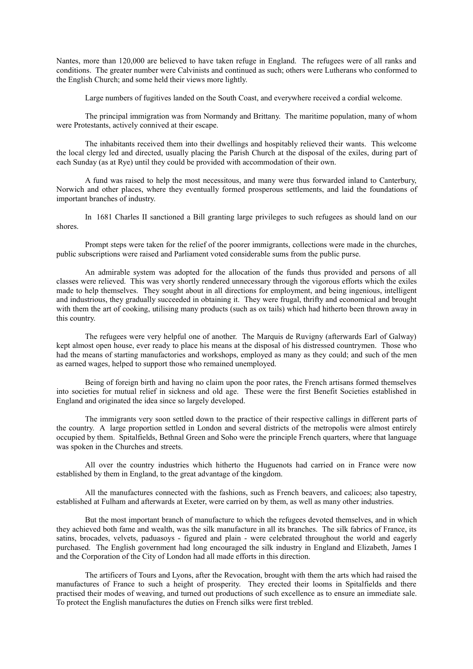Nantes, more than 120,000 are believed to have taken refuge in England. The refugees were of all ranks and conditions. The greater number were Calvinists and continued as such; others were Lutherans who conformed to the English Church; and some held their views more lightly.

Large numbers of fugitives landed on the South Coast, and everywhere received a cordial welcome.

The principal immigration was from Normandy and Brittany. The maritime population, many of whom were Protestants, actively connived at their escape.

The inhabitants received them into their dwellings and hospitably relieved their wants. This welcome the local clergy led and directed, usually placing the Parish Church at the disposal of the exiles, during part of each Sunday (as at Rye) until they could be provided with accommodation of their own.

A fund was raised to help the most necessitous, and many were thus forwarded inland to Canterbury, Norwich and other places, where they eventually formed prosperous settlements, and laid the foundations of important branches of industry.

In 1681 Charles II sanctioned a Bill granting large privileges to such refugees as should land on our shores.

Prompt steps were taken for the relief of the poorer immigrants, collections were made in the churches, public subscriptions were raised and Parliament voted considerable sums from the public purse.

An admirable system was adopted for the allocation of the funds thus provided and persons of all classes were relieved. This was very shortly rendered unnecessary through the vigorous efforts which the exiles made to help themselves. They sought about in all directions for employment, and being ingenious, intelligent and industrious, they gradually succeeded in obtaining it. They were frugal, thrifty and economical and brought with them the art of cooking, utilising many products (such as ox tails) which had hitherto been thrown away in this country.

The refugees were very helpful one of another. The Marquis de Ruvigny (afterwards Earl of Galway) kept almost open house, ever ready to place his means at the disposal of his distressed countrymen. Those who had the means of starting manufactories and workshops, employed as many as they could; and such of the men as earned wages, helped to support those who remained unemployed.

Being of foreign birth and having no claim upon the poor rates, the French artisans formed themselves into societies for mutual relief in sickness and old age. These were the first Benefit Societies established in England and originated the idea since so largely developed.

The immigrants very soon settled down to the practice of their respective callings in different parts of the country. A large proportion settled in London and several districts of the metropolis were almost entirely occupied by them. Spitalfields, Bethnal Green and Soho were the principle French quarters, where that language was spoken in the Churches and streets.

All over the country industries which hitherto the Huguenots had carried on in France were now established by them in England, to the great advantage of the kingdom.

All the manufactures connected with the fashions, such as French beavers, and calicoes; also tapestry, established at Fulham and afterwards at Exeter, were carried on by them, as well as many other industries.

But the most important branch of manufacture to which the refugees devoted themselves, and in which they achieved both fame and wealth, was the silk manufacture in all its branches. The silk fabrics of France, its satins, brocades, velvets, paduasoys - figured and plain - were celebrated throughout the world and eagerly purchased. The English government had long encouraged the silk industry in England and Elizabeth, James I and the Corporation of the City of London had all made efforts in this direction.

The artificers of Tours and Lyons, after the Revocation, brought with them the arts which had raised the manufactures of France to such a height of prosperity. They erected their looms in Spitalfields and there practised their modes of weaving, and turned out productions of such excellence as to ensure an immediate sale. To protect the English manufactures the duties on French silks were first trebled.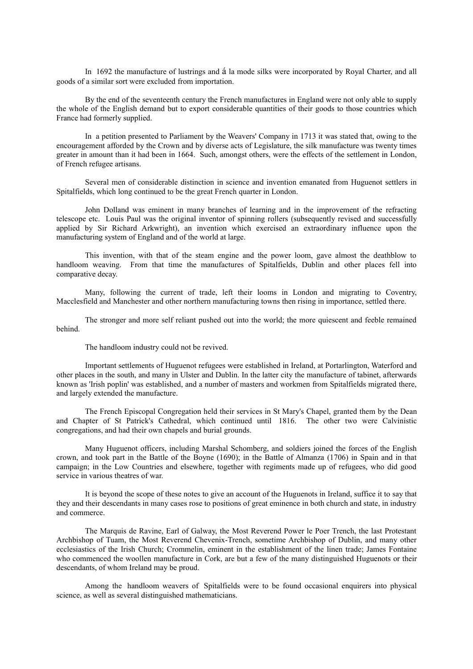In 1692 the manufacture of lustrings and á la mode silks were incorporated by Royal Charter, and all goods of a similar sort were excluded from importation.

By the end of the seventeenth century the French manufactures in England were not only able to supply the whole of the English demand but to export considerable quantities of their goods to those countries which France had formerly supplied.

In a petition presented to Parliament by the Weavers' Company in 1713 it was stated that, owing to the encouragement afforded by the Crown and by diverse acts of Legislature, the silk manufacture was twenty times greater in amount than it had been in 1664. Such, amongst others, were the effects of the settlement in London, of French refugee artisans.

Several men of considerable distinction in science and invention emanated from Huguenot settlers in Spitalfields, which long continued to be the great French quarter in London.

John Dolland was eminent in many branches of learning and in the improvement of the refracting telescope etc. Louis Paul was the original inventor of spinning rollers (subsequently revised and successfully applied by Sir Richard Arkwright), an invention which exercised an extraordinary influence upon the manufacturing system of England and of the world at large.

This invention, with that of the steam engine and the power loom, gave almost the deathblow to handloom weaving. From that time the manufactures of Spitalfields, Dublin and other places fell into comparative decay.

Many, following the current of trade, left their looms in London and migrating to Coventry, Macclesfield and Manchester and other northern manufacturing towns then rising in importance, settled there.

The stronger and more self reliant pushed out into the world; the more quiescent and feeble remained behind.

The handloom industry could not be revived.

Important settlements of Huguenot refugees were established in Ireland, at Portarlington, Waterford and other places in the south, and many in Ulster and Dublin. In the latter city the manufacture of tabinet, afterwards known as 'Irish poplin' was established, and a number of masters and workmen from Spitalfields migrated there, and largely extended the manufacture.

The French Episcopal Congregation held their services in St Mary's Chapel, granted them by the Dean and Chapter of St Patrick's Cathedral, which continued until 1816. The other two were Calvinistic congregations, and had their own chapels and burial grounds.

Many Huguenot officers, including Marshal Schomberg, and soldiers joined the forces of the English crown, and took part in the Battle of the Boyne (1690); in the Battle of Almanza (1706) in Spain and in that campaign; in the Low Countries and elsewhere, together with regiments made up of refugees, who did good service in various theatres of war.

It is beyond the scope of these notes to give an account of the Huguenots in Ireland, suffice it to say that they and their descendants in many cases rose to positions of great eminence in both church and state, in industry and commerce.

The Marquis de Ravine, Earl of Galway, the Most Reverend Power le Poer Trench, the last Protestant Archbishop of Tuam, the Most Reverend Chevenix-Trench, sometime Archbishop of Dublin, and many other ecclesiastics of the Irish Church; Crommelin, eminent in the establishment of the linen trade; James Fontaine who commenced the woollen manufacture in Cork, are but a few of the many distinguished Huguenots or their descendants, of whom Ireland may be proud.

Among the handloom weavers of Spitalfields were to be found occasional enquirers into physical science, as well as several distinguished mathematicians.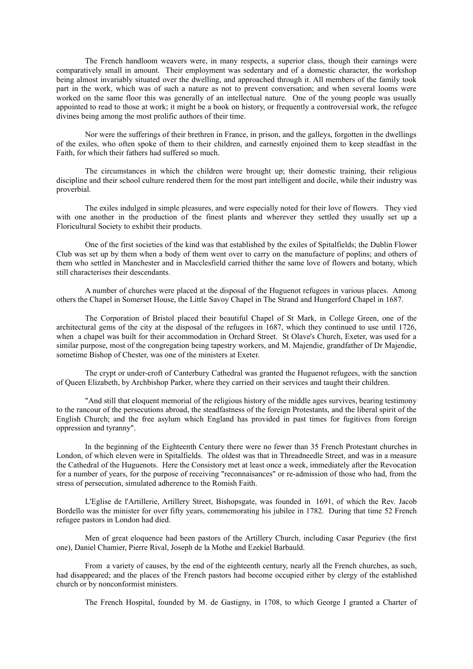The French handloom weavers were, in many respects, a superior class, though their earnings were comparatively small in amount. Their employment was sedentary and of a domestic character, the workshop being almost invariably situated over the dwelling, and approached through it. All members of the family took part in the work, which was of such a nature as not to prevent conversation; and when several looms were worked on the same floor this was generally of an intellectual nature. One of the young people was usually appointed to read to those at work; it might be a book on history, or frequently a controversial work, the refugee divines being among the most prolific authors of their time.

Nor were the sufferings of their brethren in France, in prison, and the galleys, forgotten in the dwellings of the exiles, who often spoke of them to their children, and earnestly enjoined them to keep steadfast in the Faith, for which their fathers had suffered so much.

The circumstances in which the children were brought up; their domestic training, their religious discipline and their school culture rendered them for the most part intelligent and docile, while their industry was proverbial.

The exiles indulged in simple pleasures, and were especially noted for their love of flowers. They vied with one another in the production of the finest plants and wherever they settled they usually set up a Floricultural Society to exhibit their products.

One of the first societies of the kind was that established by the exiles of Spitalfields; the Dublin Flower Club was set up by them when a body of them went over to carry on the manufacture of poplins; and others of them who settled in Manchester and in Macclesfield carried thither the same love of flowers and botany, which still characterises their descendants.

A number of churches were placed at the disposal of the Huguenot refugees in various places. Among others the Chapel in Somerset House, the Little Savoy Chapel in The Strand and Hungerford Chapel in 1687.

The Corporation of Bristol placed their beautiful Chapel of St Mark, in College Green, one of the architectural gems of the city at the disposal of the refugees in 1687, which they continued to use until 1726, when a chapel was built for their accommodation in Orchard Street. St Olave's Church, Exeter, was used for a similar purpose, most of the congregation being tapestry workers, and M. Majendie, grandfather of Dr Majendie, sometime Bishop of Chester, was one of the ministers at Exeter.

The crypt or under-croft of Canterbury Cathedral was granted the Huguenot refugees, with the sanction of Queen Elizabeth, by Archbishop Parker, where they carried on their services and taught their children.

"And still that eloquent memorial of the religious history of the middle ages survives, bearing testimony to the rancour of the persecutions abroad, the steadfastness of the foreign Protestants, and the liberal spirit of the English Church; and the free asylum which England has provided in past times for fugitives from foreign oppression and tyranny".

In the beginning of the Eighteenth Century there were no fewer than 35 French Protestant churches in London, of which eleven were in Spitalfields. The oldest was that in Threadneedle Street, and was in a measure the Cathedral of the Huguenots. Here the Consistory met at least once a week, immediately after the Revocation for a number of years, for the purpose of receiving "reconnaisances" or re-admission of those who had, from the stress of persecution, simulated adherence to the Romish Faith.

L'Eglise de l'Artillerie, Artillery Street, Bishopsgate, was founded in 1691, of which the Rev. Jacob Bordello was the minister for over fifty years, commemorating his jubilee in 1782. During that time 52 French refugee pastors in London had died.

Men of great eloquence had been pastors of the Artillery Church, including Casar Peguriev (the first one), Daniel Chamier, Pierre Rival, Joseph de la Mothe and Ezekiel Barbauld.

From a variety of causes, by the end of the eighteenth century, nearly all the French churches, as such, had disappeared; and the places of the French pastors had become occupied either by clergy of the established church or by nonconformist ministers.

The French Hospital, founded by M. de Gastigny, in 1708, to which George I granted a Charter of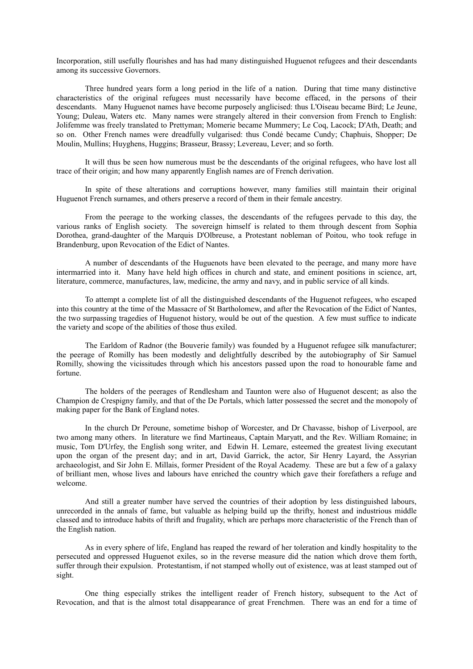Incorporation, still usefully flourishes and has had many distinguished Huguenot refugees and their descendants among its successive Governors.

Three hundred years form a long period in the life of a nation. During that time many distinctive characteristics of the original refugees must necessarily have become effaced, in the persons of their descendants. Many Huguenot names have become purposely anglicised: thus L'Oiseau became Bird; Le Jeune, Young; Duleau, Waters etc. Many names were strangely altered in their conversion from French to English: Jolifemme was freely translated to Prettyman; Momerie became Mummery; Le Coq, Lacock; D'Ath, Death; and so on. Other French names were dreadfully vulgarised: thus Condé became Cundy; Chaphuis, Shopper; De Moulin, Mullins; Huyghens, Huggins; Brasseur, Brassy; Levereau, Lever; and so forth.

It will thus be seen how numerous must be the descendants of the original refugees, who have lost all trace of their origin; and how many apparently English names are of French derivation.

In spite of these alterations and corruptions however, many families still maintain their original Huguenot French surnames, and others preserve a record of them in their female ancestry.

From the peerage to the working classes, the descendants of the refugees pervade to this day, the various ranks of English society. The sovereign himself is related to them through descent from Sophia Dorothea, grand-daughter of the Marquis D'Olbreuse, a Protestant nobleman of Poitou, who took refuge in Brandenburg, upon Revocation of the Edict of Nantes.

A number of descendants of the Huguenots have been elevated to the peerage, and many more have intermarried into it. Many have held high offices in church and state, and eminent positions in science, art, literature, commerce, manufactures, law, medicine, the army and navy, and in public service of all kinds.

To attempt a complete list of all the distinguished descendants of the Huguenot refugees, who escaped into this country at the time of the Massacre of St Bartholomew, and after the Revocation of the Edict of Nantes, the two surpassing tragedies of Huguenot history, would be out of the question. A few must suffice to indicate the variety and scope of the abilities of those thus exiled.

The Earldom of Radnor (the Bouverie family) was founded by a Huguenot refugee silk manufacturer; the peerage of Romilly has been modestly and delightfully described by the autobiography of Sir Samuel Romilly, showing the vicissitudes through which his ancestors passed upon the road to honourable fame and fortune.

The holders of the peerages of Rendlesham and Taunton were also of Huguenot descent; as also the Champion de Crespigny family, and that of the De Portals, which latter possessed the secret and the monopoly of making paper for the Bank of England notes.

In the church Dr Peroune, sometime bishop of Worcester, and Dr Chavasse, bishop of Liverpool, are two among many others. In literature we find Martineaus, Captain Maryatt, and the Rev. William Romaine; in music, Tom D'Urfey, the English song writer, and Edwin H. Lemare, esteemed the greatest living executant upon the organ of the present day; and in art, David Garrick, the actor, Sir Henry Layard, the Assyrian archaeologist, and Sir John E. Millais, former President of the Royal Academy. These are but a few of a galaxy of brilliant men, whose lives and labours have enriched the country which gave their forefathers a refuge and welcome.

And still a greater number have served the countries of their adoption by less distinguished labours, unrecorded in the annals of fame, but valuable as helping build up the thrifty, honest and industrious middle classed and to introduce habits of thrift and frugality, which are perhaps more characteristic of the French than of the English nation.

As in every sphere of life, England has reaped the reward of her toleration and kindly hospitality to the persecuted and oppressed Huguenot exiles, so in the reverse measure did the nation which drove them forth, suffer through their expulsion. Protestantism, if not stamped wholly out of existence, was at least stamped out of sight.

One thing especially strikes the intelligent reader of French history, subsequent to the Act of Revocation, and that is the almost total disappearance of great Frenchmen. There was an end for a time of